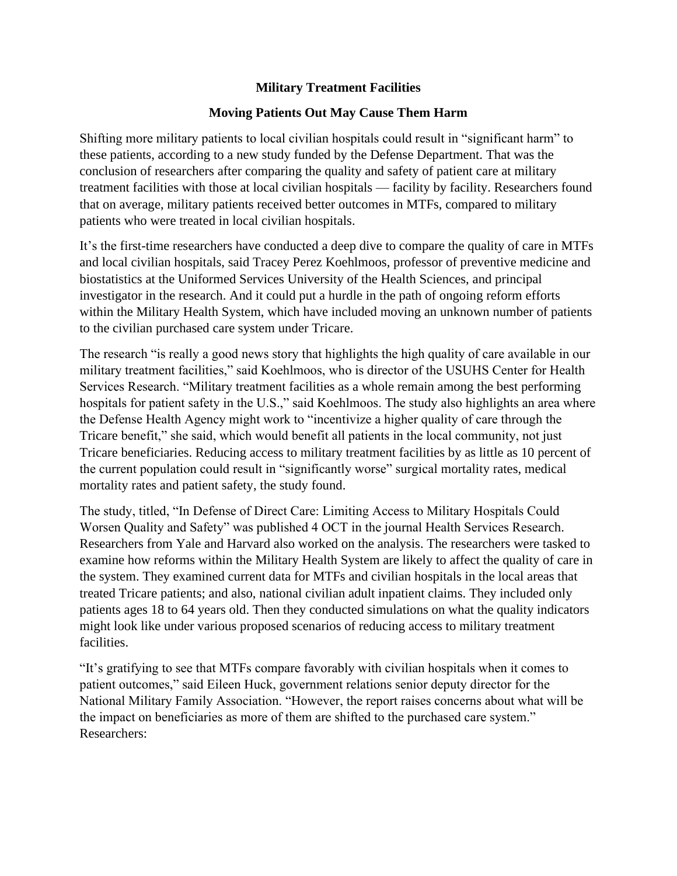## **Military Treatment Facilities**

## **Moving Patients Out May Cause Them Harm**

Shifting more military patients to local civilian hospitals could result in "significant harm" to these patients, according to a new study funded by the Defense Department. That was the conclusion of researchers after comparing the quality and safety of patient care at military treatment facilities with those at local civilian hospitals — facility by facility. Researchers found that on average, military patients received better outcomes in MTFs, compared to military patients who were treated in local civilian hospitals.

It's the first-time researchers have conducted a deep dive to compare the quality of care in MTFs and local civilian hospitals, said Tracey Perez Koehlmoos, professor of preventive medicine and biostatistics at the Uniformed Services University of the Health Sciences, and principal investigator in the research. And it could put a hurdle in the path of ongoing reform efforts within the Military Health System, which have included moving an unknown number of patients to the civilian purchased care system under Tricare.

The research "is really a good news story that highlights the high quality of care available in our military treatment facilities," said Koehlmoos, who is director of the USUHS Center for Health Services Research. "Military treatment facilities as a whole remain among the best performing hospitals for patient safety in the U.S.," said Koehlmoos. The study also highlights an area where the Defense Health Agency might work to "incentivize a higher quality of care through the Tricare benefit," she said, which would benefit all patients in the local community, not just Tricare beneficiaries. Reducing access to military treatment facilities by as little as 10 percent of the current population could result in "significantly worse" surgical mortality rates, medical mortality rates and patient safety, the study found.

The study, titled, "In Defense of Direct Care: Limiting Access to Military Hospitals Could Worsen Quality and Safety" was published 4 OCT in the journal Health Services Research. Researchers from Yale and Harvard also worked on the analysis. The researchers were tasked to examine how reforms within the Military Health System are likely to affect the quality of care in the system. They examined current data for MTFs and civilian hospitals in the local areas that treated Tricare patients; and also, national civilian adult inpatient claims. They included only patients ages 18 to 64 years old. Then they conducted simulations on what the quality indicators might look like under various proposed scenarios of reducing access to military treatment facilities.

"It's gratifying to see that MTFs compare favorably with civilian hospitals when it comes to patient outcomes," said Eileen Huck, government relations senior deputy director for the National Military Family Association. "However, the report raises concerns about what will be the impact on beneficiaries as more of them are shifted to the purchased care system." Researchers: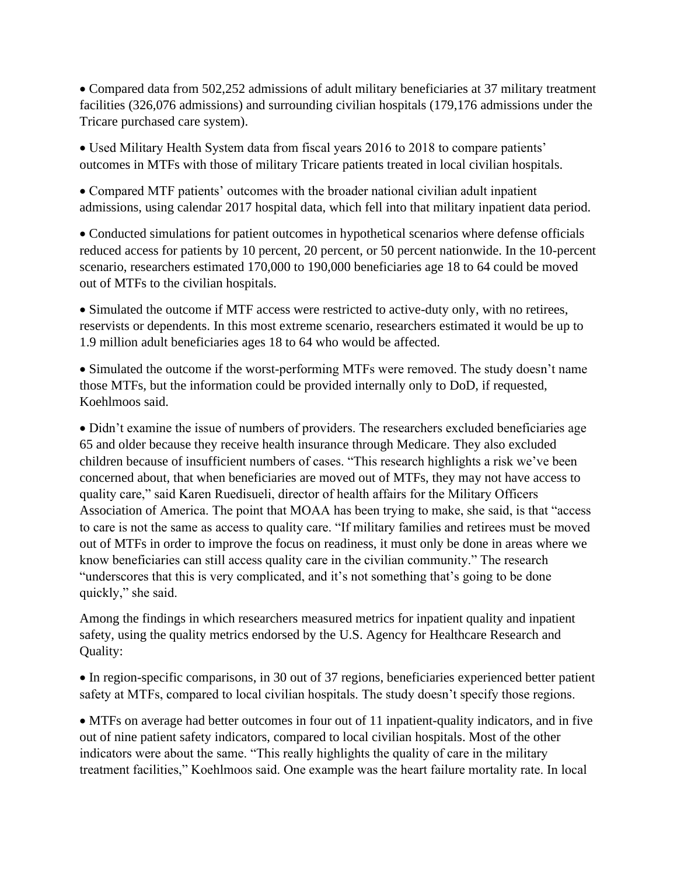• Compared data from 502,252 admissions of adult military beneficiaries at 37 military treatment facilities (326,076 admissions) and surrounding civilian hospitals (179,176 admissions under the Tricare purchased care system).

• Used Military Health System data from fiscal years 2016 to 2018 to compare patients' outcomes in MTFs with those of military Tricare patients treated in local civilian hospitals.

• Compared MTF patients' outcomes with the broader national civilian adult inpatient admissions, using calendar 2017 hospital data, which fell into that military inpatient data period.

• Conducted simulations for patient outcomes in hypothetical scenarios where defense officials reduced access for patients by 10 percent, 20 percent, or 50 percent nationwide. In the 10-percent scenario, researchers estimated 170,000 to 190,000 beneficiaries age 18 to 64 could be moved out of MTFs to the civilian hospitals.

• Simulated the outcome if MTF access were restricted to active-duty only, with no retirees, reservists or dependents. In this most extreme scenario, researchers estimated it would be up to 1.9 million adult beneficiaries ages 18 to 64 who would be affected.

• Simulated the outcome if the worst-performing MTFs were removed. The study doesn't name those MTFs, but the information could be provided internally only to DoD, if requested, Koehlmoos said.

• Didn't examine the issue of numbers of providers. The researchers excluded beneficiaries age 65 and older because they receive health insurance through Medicare. They also excluded children because of insufficient numbers of cases. "This research highlights a risk we've been concerned about, that when beneficiaries are moved out of MTFs, they may not have access to quality care," said Karen Ruedisueli, director of health affairs for the Military Officers Association of America. The point that MOAA has been trying to make, she said, is that "access to care is not the same as access to quality care. "If military families and retirees must be moved out of MTFs in order to improve the focus on readiness, it must only be done in areas where we know beneficiaries can still access quality care in the civilian community." The research "underscores that this is very complicated, and it's not something that's going to be done quickly," she said.

Among the findings in which researchers measured metrics for inpatient quality and inpatient safety, using the quality metrics endorsed by the U.S. Agency for Healthcare Research and Quality:

• In region-specific comparisons, in 30 out of 37 regions, beneficiaries experienced better patient safety at MTFs, compared to local civilian hospitals. The study doesn't specify those regions.

• MTFs on average had better outcomes in four out of 11 inpatient-quality indicators, and in five out of nine patient safety indicators, compared to local civilian hospitals. Most of the other indicators were about the same. "This really highlights the quality of care in the military treatment facilities," Koehlmoos said. One example was the heart failure mortality rate. In local